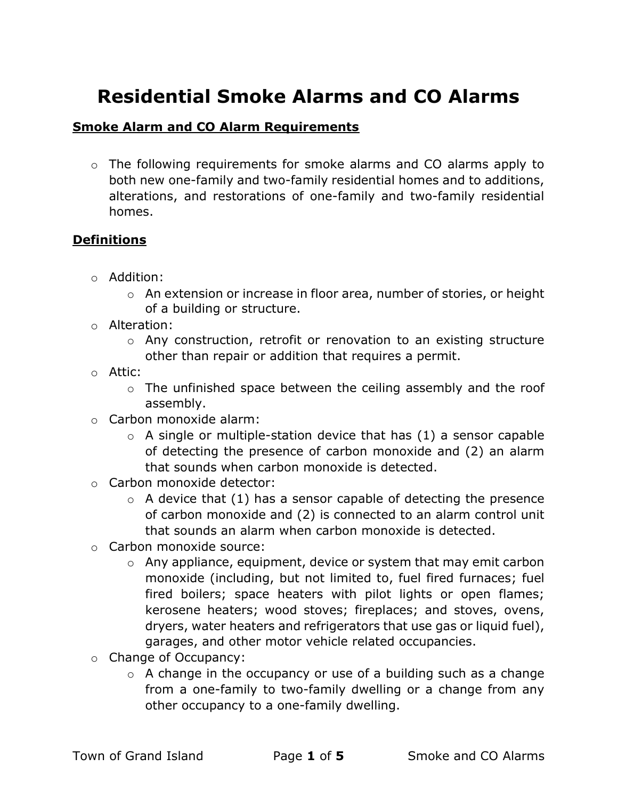# Residential Smoke Alarms and CO Alarms

# **Smoke Alarm and CO Alarm Requirements**

o The following requirements for smoke alarms and CO alarms apply to both new one-family and two-family residential homes and to additions, alterations, and restorations of one-family and two-family residential homes.

### **Definitions**

- o Addition:
	- o An extension or increase in floor area, number of stories, or height of a building or structure.
- o Alteration:
	- o Any construction, retrofit or renovation to an existing structure other than repair or addition that requires a permit.
- o Attic:
	- o The unfinished space between the ceiling assembly and the roof assembly.
- o Carbon monoxide alarm:
	- $\circ$  A single or multiple-station device that has (1) a sensor capable of detecting the presence of carbon monoxide and (2) an alarm that sounds when carbon monoxide is detected.
- o Carbon monoxide detector:
	- $\circ$  A device that (1) has a sensor capable of detecting the presence of carbon monoxide and (2) is connected to an alarm control unit that sounds an alarm when carbon monoxide is detected.
- o Carbon monoxide source:
	- o Any appliance, equipment, device or system that may emit carbon monoxide (including, but not limited to, fuel fired furnaces; fuel fired boilers; space heaters with pilot lights or open flames; kerosene heaters; wood stoves; fireplaces; and stoves, ovens, dryers, water heaters and refrigerators that use gas or liquid fuel), garages, and other motor vehicle related occupancies.
- o Change of Occupancy:
	- $\circ$  A change in the occupancy or use of a building such as a change from a one-family to two-family dwelling or a change from any other occupancy to a one-family dwelling.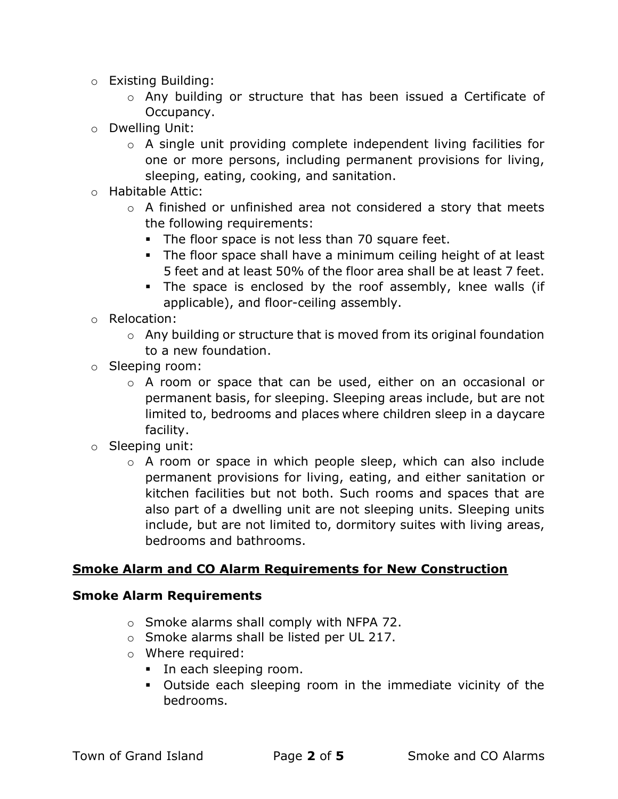- o Existing Building:
	- o Any building or structure that has been issued a Certificate of Occupancy.
- o Dwelling Unit:
	- o A single unit providing complete independent living facilities for one or more persons, including permanent provisions for living, sleeping, eating, cooking, and sanitation.
- o Habitable Attic:
	- o A finished or unfinished area not considered a story that meets the following requirements:
		- The floor space is not less than 70 square feet.
		- The floor space shall have a minimum ceiling height of at least 5 feet and at least 50% of the floor area shall be at least 7 feet.
		- The space is enclosed by the roof assembly, knee walls (if applicable), and floor-ceiling assembly.
- o Relocation:
	- o Any building or structure that is moved from its original foundation to a new foundation.
- o Sleeping room:
	- o A room or space that can be used, either on an occasional or permanent basis, for sleeping. Sleeping areas include, but are not limited to, bedrooms and places where children sleep in a daycare facility.
- o Sleeping unit:
	- o A room or space in which people sleep, which can also include permanent provisions for living, eating, and either sanitation or kitchen facilities but not both. Such rooms and spaces that are also part of a dwelling unit are not sleeping units. Sleeping units include, but are not limited to, dormitory suites with living areas, bedrooms and bathrooms.

#### Smoke Alarm and CO Alarm Requirements for New Construction

#### Smoke Alarm Requirements

- o Smoke alarms shall comply with NFPA 72.
- o Smoke alarms shall be listed per UL 217.
- o Where required:
	- In each sleeping room.
	- Outside each sleeping room in the immediate vicinity of the bedrooms.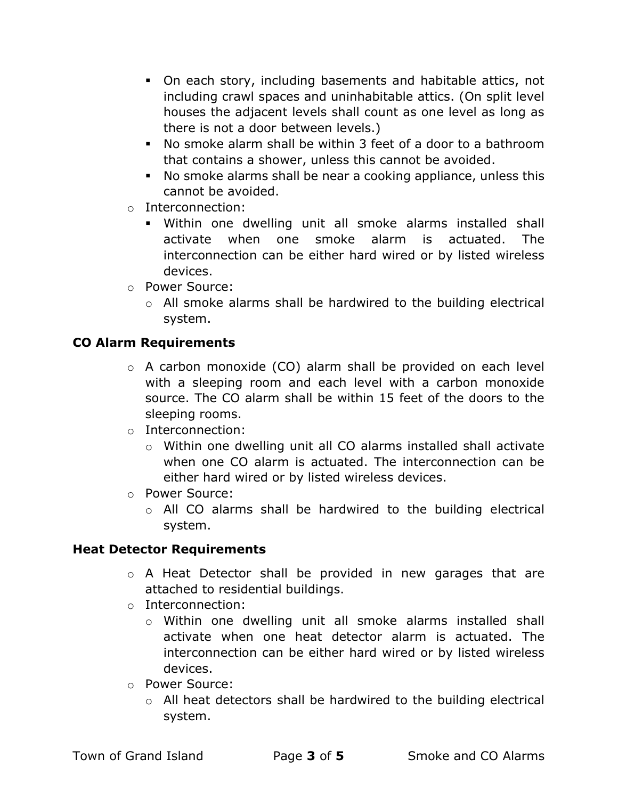- On each story, including basements and habitable attics, not including crawl spaces and uninhabitable attics. (On split level houses the adjacent levels shall count as one level as long as there is not a door between levels.)
- No smoke alarm shall be within 3 feet of a door to a bathroom that contains a shower, unless this cannot be avoided.
- No smoke alarms shall be near a cooking appliance, unless this cannot be avoided.
- o Interconnection:
	- Within one dwelling unit all smoke alarms installed shall activate when one smoke alarm is actuated. The interconnection can be either hard wired or by listed wireless devices.
- o Power Source:
	- $\circ$  All smoke alarms shall be hardwired to the building electrical system.

# CO Alarm Requirements

- o A carbon monoxide (CO) alarm shall be provided on each level with a sleeping room and each level with a carbon monoxide source. The CO alarm shall be within 15 feet of the doors to the sleeping rooms.
- o Interconnection:
	- o Within one dwelling unit all CO alarms installed shall activate when one CO alarm is actuated. The interconnection can be either hard wired or by listed wireless devices.
- o Power Source:
	- o All CO alarms shall be hardwired to the building electrical system.

# Heat Detector Requirements

- o A Heat Detector shall be provided in new garages that are attached to residential buildings.
- o Interconnection:
	- $\circ$  Within one dwelling unit all smoke alarms installed shall activate when one heat detector alarm is actuated. The interconnection can be either hard wired or by listed wireless devices.
- o Power Source:
	- o All heat detectors shall be hardwired to the building electrical system.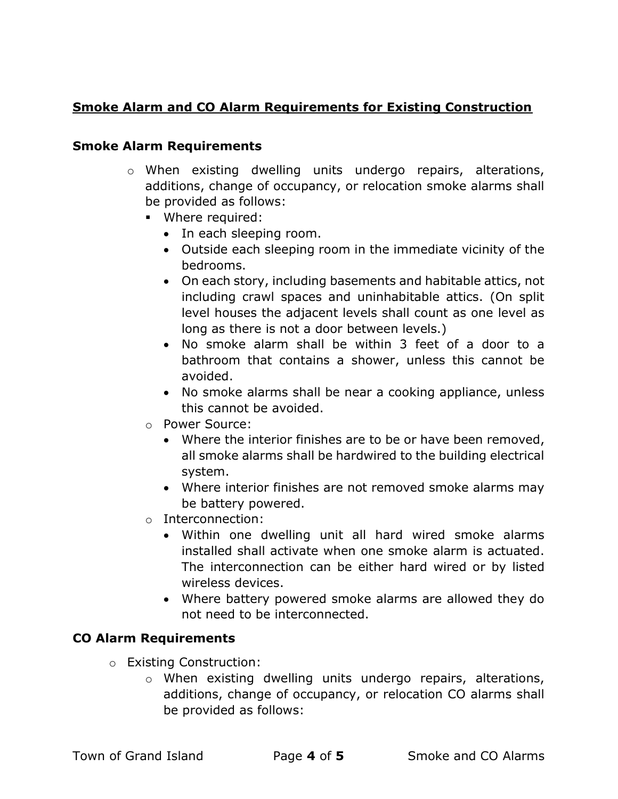# Smoke Alarm and CO Alarm Requirements for Existing Construction

#### Smoke Alarm Requirements

- o When existing dwelling units undergo repairs, alterations, additions, change of occupancy, or relocation smoke alarms shall be provided as follows:
	- **•** Where required:
		- In each sleeping room.
		- Outside each sleeping room in the immediate vicinity of the bedrooms.
		- On each story, including basements and habitable attics, not including crawl spaces and uninhabitable attics. (On split level houses the adjacent levels shall count as one level as long as there is not a door between levels.)
		- No smoke alarm shall be within 3 feet of a door to a bathroom that contains a shower, unless this cannot be avoided.
		- No smoke alarms shall be near a cooking appliance, unless this cannot be avoided.
	- o Power Source:
		- Where the interior finishes are to be or have been removed, all smoke alarms shall be hardwired to the building electrical system.
		- Where interior finishes are not removed smoke alarms may be battery powered.
	- o Interconnection:
		- Within one dwelling unit all hard wired smoke alarms installed shall activate when one smoke alarm is actuated. The interconnection can be either hard wired or by listed wireless devices.
		- Where battery powered smoke alarms are allowed they do not need to be interconnected.

# CO Alarm Requirements

- o Existing Construction:
	- o When existing dwelling units undergo repairs, alterations, additions, change of occupancy, or relocation CO alarms shall be provided as follows: